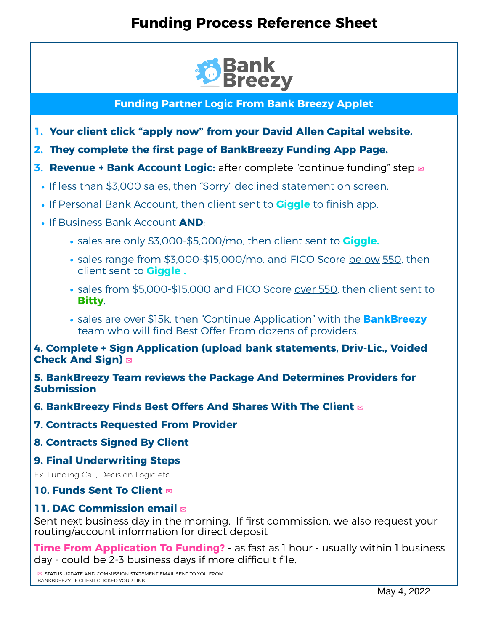# **Funding Process Reference Sheet**



**Funding Partner Logic From Bank Breezy Applet** 

- **1. Your client click "apply now" from your David Allen Capital website.**
- **2. They complete the first page of BankBreezy Funding App Page.**
- **3. Revenue + Bank Account Logic:** after complete "continue funding" step **✉︎**
	- **•** If less than \$3,000 sales, then "Sorry" declined statement on screen.
	- **•** If Personal Bank Account, then client sent to **Giggle** to finish app.
	- **•** If Business Bank Account **AND**:
		- **•** sales are only \$3,000-\$5,000/mo, then client sent to **Giggle.**
		- **•** sales range from \$3,000-\$15,000/mo. and FICO Score below 550, then client sent to **Giggle .**
		- **•** sales from \$5,000-\$15,000 and FICO Score over 550, then client sent to **Bitty**.
		- **•** sales are over \$15k, then "Continue Application" with the **BankBreezy** team who will find Best Offer From dozens of providers.

#### **4. Complete + Sign Application (upload bank statements, Driv-Lic., Voided Check And Sign) ✉︎**

**5. BankBreezy Team reviews the Package And Determines Providers for Submission**

**6. BankBreezy Finds Best Offers And Shares With The Client ✉︎**

**7. Contracts Requested From Provider** 

**8. Contracts Signed By Client**

#### **9. Final Underwriting Steps**

Ex: Funding Call, Decision Logic etc

### **10. Funds Sent To Client**  $\boxtimes$

### **11. DAC Commission email ✉︎**

Sent next business day in the morning. If first commission, we also request your<br>routing/account information for direct deposit

**Time From Application To Funding?** as fast as 1 hour - usually within 1 business day - could be 2-3 business days if more difficult file.

**✉︎** STATUS UPDATE AND COMMISSION STATEMENT EMAIL SENT TO YOU FROM BANKBREEZY IF CLIENT CLICKED YOUR LINK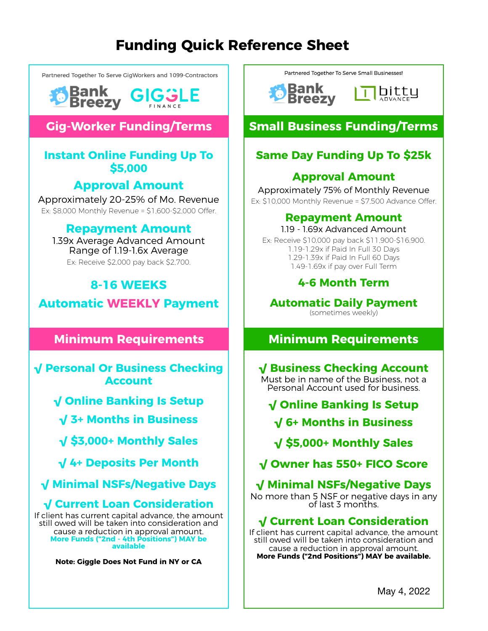# **Funding Quick Reference Sheet**

Partnered Together To Serve CigWorkers and 1099-Contractors





# **Gig-Worker Funding/Terms**

### **Instant Online Funding Up To \$5,000**

## **Approval Amount**

Approximately 20-25% of Mo. Revenue Ex: \$8,000 Monthly Revenue = \$1,600-\$2,000 Offer.

## **Repayment Amount**

1.39x Average Advanced Amount Range of 1.19-1.6x Average Ex: Receive \$2,000 pay back \$2,700.

## **8-16 WEEKS**

**Automatic WEEKLY Payment**

## **Minimum Requirements**

**√ Personal Or Business Checking Account**

- **√ Online Banking Is Setup**
	- **√ 3+ Months in Business**
	- **√ \$3,000+ Monthly Sales**
- **√ 4+ Deposits Per Month**
- **√ Minimal NSFs/Negative Days**

## **√ Current Loan Consideration**

If client has current capital advance, the amount still owed will be taken into consideration and cause a reduction in approval amount. **More Funds ("2nd - 4th Positions") MAY be available**

**Note: Giggle Does Not Fund in NY or CA**

Partnered Together To Serve Small Businesses!

**Bank Breezy** 

bitty ADVANCE

# **Small Business Funding/Terms**

# **Same Day Funding Up To \$25k**

## **Approval Amount**

Approximately 75% of Monthly Revenue Ex: \$10,000 Monthly Revenue = \$7,500 Advance Offer.

## **Repayment Amount**

1.19 - 1.69x Advanced Amount

Ex: Receive \$10,000 pay back \$11,900-\$16,900. 1.19-1.29x if Paid In Full 30 Days 1.29-1.39x if Paid In Full 60 Days 1.49-1.69x if pay over Full Term

## **4-6 Month Term**

**Automatic Daily Payment** (sometimes weekly)

# **Minimum Requirements**

# **√ Business Checking Account**

Must be in name of the Business, not a Personal Account used for business.

**√ Online Banking Is Setup**

**√ 6+ Months in Business**

**√ \$5,000+ Monthly Sales**

**√ Owner has 550+ FICO Score**

# **√ Minimal NSFs/Negative Days**

No more than 5 NSF or negative days in any of last 3 months.

## **√ Current Loan Consideration**

If client has current capital advance, the amount still owed will be taken into consideration and cause a reduction in approval amount. **More Funds ("2nd Positions") MAY be available.**

May 4, 2022